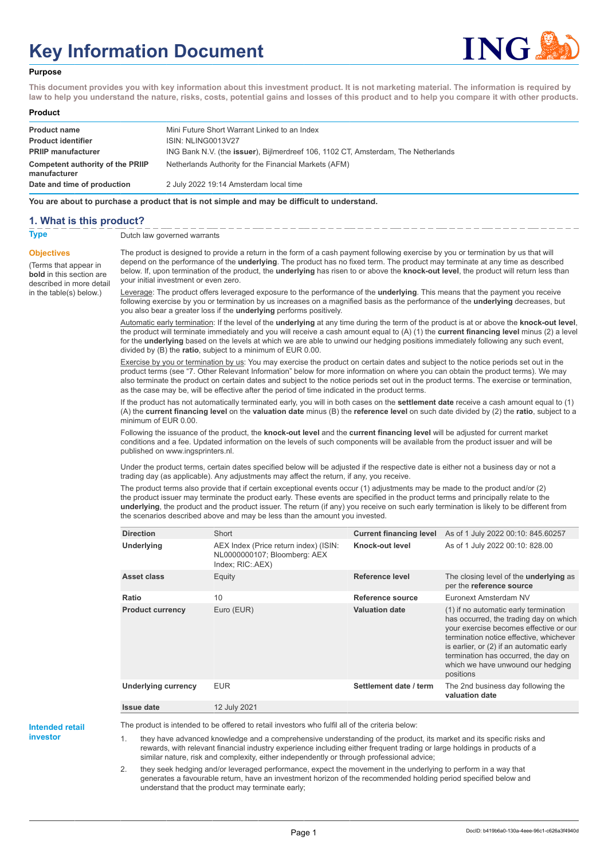# **Key Information Document**



#### **Purpose**

**This document provides you with key information about this investment product. It is not marketing material. The information is required by law to help you understand the nature, risks, costs, potential gains and losses of this product and to help you compare it with other products.**

#### **Product**

| <b>Product name</b>                              | Mini Future Short Warrant Linked to an Index                                      |
|--------------------------------------------------|-----------------------------------------------------------------------------------|
| <b>Product identifier</b>                        | ISIN: NLING0013V27                                                                |
| <b>PRIIP manufacturer</b>                        | ING Bank N.V. (the issuer), Bijlmerdreef 106, 1102 CT, Amsterdam, The Netherlands |
| Competent authority of the PRIIP<br>manufacturer | Netherlands Authority for the Financial Markets (AFM)                             |
| Date and time of production                      | 2 July 2022 19:14 Amsterdam local time                                            |

**You are about to purchase a product that is not simple and may be difficult to understand.**

### **1. What is this product?**

**Objectives**

(Terms that appear in **bold** in this section are

in the table(s) below.)

**Type** Dutch law governed warrants

described in more detail The product is designed to provide a return in the form of a cash payment following exercise by you or termination by us that will depend on the performance of the **underlying**. The product has no fixed term. The product may terminate at any time as described below. If, upon termination of the product, the **underlying** has risen to or above the **knock-out level**, the product will return less than your initial investment or even zero.

> Leverage: The product offers leveraged exposure to the performance of the **underlying**. This means that the payment you receive following exercise by you or termination by us increases on a magnified basis as the performance of the **underlying** decreases, but you also bear a greater loss if the **underlying** performs positively.

Automatic early termination: If the level of the **underlying** at any time during the term of the product is at or above the **knock-out level**, the product will terminate immediately and you will receive a cash amount equal to (A) (1) the **current financing level** minus (2) a level for the **underlying** based on the levels at which we are able to unwind our hedging positions immediately following any such event, divided by (B) the **ratio**, subject to a minimum of EUR 0.00.

Exercise by you or termination by us: You may exercise the product on certain dates and subject to the notice periods set out in the product terms (see "7. Other Relevant Information" below for more information on where you can obtain the product terms). We may also terminate the product on certain dates and subject to the notice periods set out in the product terms. The exercise or termination, as the case may be, will be effective after the period of time indicated in the product terms.

If the product has not automatically terminated early, you will in both cases on the **settlement date** receive a cash amount equal to (1) (A) the **current financing level** on the **valuation date** minus (B) the **reference level** on such date divided by (2) the **ratio**, subject to a minimum of EUR 0.00.

Following the issuance of the product, the **knock-out level** and the **current financing level** will be adjusted for current market conditions and a fee. Updated information on the levels of such components will be available from the product issuer and will be published on www.ingsprinters.nl.

Under the product terms, certain dates specified below will be adjusted if the respective date is either not a business day or not a trading day (as applicable). Any adjustments may affect the return, if any, you receive.

The product terms also provide that if certain exceptional events occur (1) adjustments may be made to the product and/or (2) the product issuer may terminate the product early. These events are specified in the product terms and principally relate to the **underlying**, the product and the product issuer. The return (if any) you receive on such early termination is likely to be different from the scenarios described above and may be less than the amount you invested.

| <b>Direction</b>           | Short                                                                                     | <b>Current financing level</b> | As of 1 July 2022 00:10: 845.60257                                                                                                                                                                                                                                                                         |
|----------------------------|-------------------------------------------------------------------------------------------|--------------------------------|------------------------------------------------------------------------------------------------------------------------------------------------------------------------------------------------------------------------------------------------------------------------------------------------------------|
| Underlying                 | AEX Index (Price return index) (ISIN:<br>NL0000000107; Bloomberg: AEX<br>Index; RIC: AEX) | Knock-out level                | As of 1 July 2022 00:10: 828.00                                                                                                                                                                                                                                                                            |
| Asset class                | Equity                                                                                    | Reference level                | The closing level of the underlying as<br>per the reference source                                                                                                                                                                                                                                         |
| Ratio                      | 10                                                                                        | Reference source               | Euronext Amsterdam NV                                                                                                                                                                                                                                                                                      |
| <b>Product currency</b>    | Euro (EUR)                                                                                | <b>Valuation date</b>          | (1) if no automatic early termination<br>has occurred, the trading day on which<br>your exercise becomes effective or our<br>termination notice effective, whichever<br>is earlier, or (2) if an automatic early<br>termination has occurred, the day on<br>which we have unwound our hedging<br>positions |
| <b>Underlying currency</b> | <b>EUR</b>                                                                                | Settlement date / term         | The 2nd business day following the<br>valuation date                                                                                                                                                                                                                                                       |
| <b>Issue date</b>          | 12 July 2021                                                                              |                                |                                                                                                                                                                                                                                                                                                            |

**Intended retail**

**investor**

The product is intended to be offered to retail investors who fulfil all of the criteria below:

they have advanced knowledge and a comprehensive understanding of the product, its market and its specific risks and rewards, with relevant financial industry experience including either frequent trading or large holdings in products of a similar nature, risk and complexity, either independently or through professional advice;

2. they seek hedging and/or leveraged performance, expect the movement in the underlying to perform in a way that generates a favourable return, have an investment horizon of the recommended holding period specified below and understand that the product may terminate early;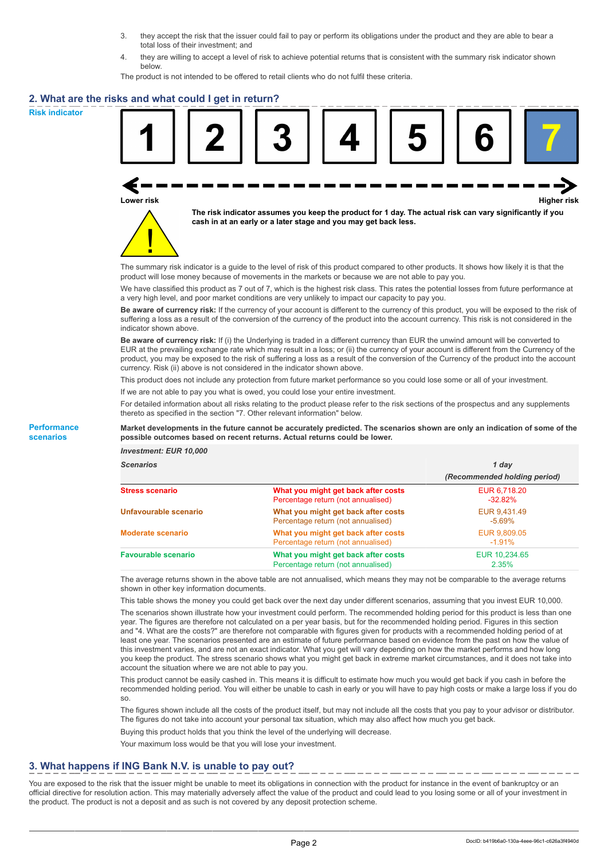- 3. they accept the risk that the issuer could fail to pay or perform its obligations under the product and they are able to bear a total loss of their investment; and
- 4. they are willing to accept a level of risk to achieve potential returns that is consistent with the summary risk indicator shown below.

The product is not intended to be offered to retail clients who do not fulfil these criteria.

### **2. What are the risks and what could I get in return?**

**Risk indicator**

**Performance scenarios**





**The risk indicator assumes you keep the product for 1 day. The actual risk can vary significantly if you cash in at an early or a later stage and you may get back less.**

The summary risk indicator is a guide to the level of risk of this product compared to other products. It shows how likely it is that the product will lose money because of movements in the markets or because we are not able to pay you.

We have classified this product as 7 out of 7, which is the highest risk class. This rates the potential losses from future performance at a very high level, and poor market conditions are very unlikely to impact our capacity to pay you.

**Be aware of currency risk:** If the currency of your account is different to the currency of this product, you will be exposed to the risk of suffering a loss as a result of the conversion of the currency of the product into the account currency. This risk is not considered in the indicator shown above.

**Be aware of currency risk:** If (i) the Underlying is traded in a different currency than EUR the unwind amount will be converted to EUR at the prevailing exchange rate which may result in a loss; or (ii) the currency of your account is different from the Currency of the product, you may be exposed to the risk of suffering a loss as a result of the conversion of the Currency of the product into the account currency. Risk (ii) above is not considered in the indicator shown above.

This product does not include any protection from future market performance so you could lose some or all of your investment.

If we are not able to pay you what is owed, you could lose your entire investment.

For detailed information about all risks relating to the product please refer to the risk sections of the prospectus and any supplements thereto as specified in the section "7. Other relevant information" below.

#### **Market developments in the future cannot be accurately predicted. The scenarios shown are only an indication of some of the possible outcomes based on recent returns. Actual returns could be lower.**

*Investment: EUR 10,000*

| cenarios |  |  |
|----------|--|--|
|          |  |  |

| <b>Scenarios</b>           |                                                                           | 1 day                        |  |
|----------------------------|---------------------------------------------------------------------------|------------------------------|--|
|                            |                                                                           | (Recommended holding period) |  |
| Stress scenario            | What you might get back after costs<br>Percentage return (not annualised) | EUR 6.718.20<br>$-32.82\%$   |  |
| Unfavourable scenario      | What you might get back after costs<br>Percentage return (not annualised) | EUR 9.431.49<br>$-5.69\%$    |  |
| <b>Moderate scenario</b>   | What you might get back after costs<br>Percentage return (not annualised) | EUR 9,809.05<br>$-1.91%$     |  |
| <b>Favourable scenario</b> | What you might get back after costs<br>Percentage return (not annualised) | EUR 10,234.65<br>2.35%       |  |

The average returns shown in the above table are not annualised, which means they may not be comparable to the average returns shown in other key information documents.

This table shows the money you could get back over the next day under different scenarios, assuming that you invest EUR 10,000.

The scenarios shown illustrate how your investment could perform. The recommended holding period for this product is less than one year. The figures are therefore not calculated on a per year basis, but for the recommended holding period. Figures in this section and "4. What are the costs?" are therefore not comparable with figures given for products with a recommended holding period of at least one year. The scenarios presented are an estimate of future performance based on evidence from the past on how the value of this investment varies, and are not an exact indicator. What you get will vary depending on how the market performs and how long you keep the product. The stress scenario shows what you might get back in extreme market circumstances, and it does not take into account the situation where we are not able to pay you.

This product cannot be easily cashed in. This means it is difficult to estimate how much you would get back if you cash in before the recommended holding period. You will either be unable to cash in early or you will have to pay high costs or make a large loss if you do so.

The figures shown include all the costs of the product itself, but may not include all the costs that you pay to your advisor or distributor. The figures do not take into account your personal tax situation, which may also affect how much you get back.

Buying this product holds that you think the level of the underlying will decrease.

Your maximum loss would be that you will lose your investment.

## **3. What happens if ING Bank N.V. is unable to pay out?**

You are exposed to the risk that the issuer might be unable to meet its obligations in connection with the product for instance in the event of bankruptcy or an official directive for resolution action. This may materially adversely affect the value of the product and could lead to you losing some or all of your investment in the product. The product is not a deposit and as such is not covered by any deposit protection scheme.